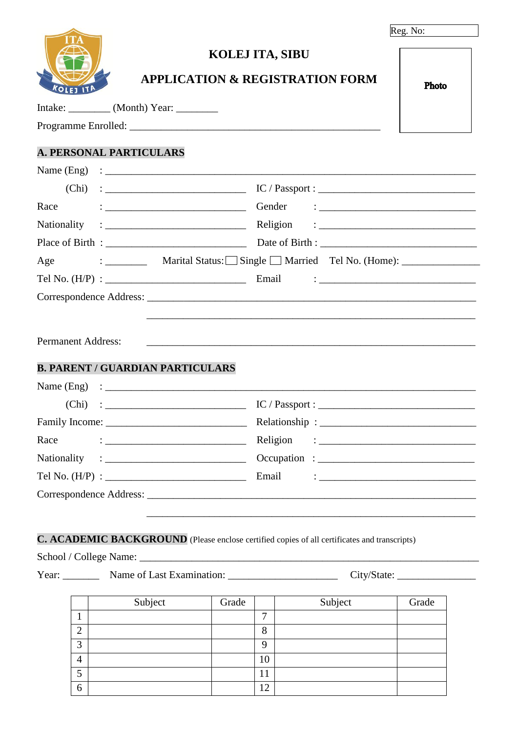|--|--|

| <b>KOLEJ ITA</b> |  |
|------------------|--|

## **KOLEJ ITA, SIBU**

# **APPLICATION & REGISTRATION FORM**

Programme Enrolled: \_\_\_\_\_\_\_\_\_\_\_\_\_\_\_\_\_\_\_\_\_\_\_\_\_\_\_\_\_\_\_\_\_\_\_\_\_\_\_\_\_\_\_\_\_\_\_\_

## **A. PERSONAL PARTICULARS**

Intake: \_\_\_\_\_\_\_\_ (Month) Year: \_\_\_\_\_\_\_\_

| (Chi)                                   | $IC / Passport : __________$                                                                                                                                                                                                      |
|-----------------------------------------|-----------------------------------------------------------------------------------------------------------------------------------------------------------------------------------------------------------------------------------|
| Race                                    | $\frac{1}{2}$ . The contract of the contract of the contract of the contract of the contract of the contract of the contract of the contract of the contract of the contract of the contract of the contract of the contract of t |
|                                         |                                                                                                                                                                                                                                   |
|                                         |                                                                                                                                                                                                                                   |
| Age                                     |                                                                                                                                                                                                                                   |
|                                         | Email<br><u> 1986 - Johann Barbara, martin basar basal dan basar basal dan basar basal dan basal dalam basal dan basal da</u>                                                                                                     |
|                                         |                                                                                                                                                                                                                                   |
| <b>Permanent Address:</b>               |                                                                                                                                                                                                                                   |
| <b>B. PARENT / GUARDIAN PARTICULARS</b> |                                                                                                                                                                                                                                   |
|                                         |                                                                                                                                                                                                                                   |
|                                         | $IC / Passport : \n\overline{\phantom{a}}$                                                                                                                                                                                        |
|                                         |                                                                                                                                                                                                                                   |
| Race                                    |                                                                                                                                                                                                                                   |
|                                         |                                                                                                                                                                                                                                   |
|                                         | Email<br><u> 1986 - Andrea Andrew Maria (b. 1986)</u>                                                                                                                                                                             |
|                                         |                                                                                                                                                                                                                                   |
|                                         |                                                                                                                                                                                                                                   |

#### **C. ACADEMIC BACKGROUND** (Please enclose certified copies of all certificates and transcripts)

School / College Name: \_\_\_\_\_\_\_\_\_\_\_\_\_\_\_\_\_\_\_\_\_\_\_\_\_\_\_\_\_\_\_\_\_\_\_\_\_\_\_\_\_\_\_\_\_\_\_\_\_\_\_\_\_\_\_\_\_\_\_\_\_\_\_\_\_

Year: \_\_\_\_\_\_\_ Name of Last Examination: \_\_\_\_\_\_\_\_\_\_\_\_\_\_\_\_\_\_\_\_\_ City/State: \_\_\_\_\_\_\_\_\_\_\_\_\_\_\_

|               | Subject | Grade |              | Subject | Grade |
|---------------|---------|-------|--------------|---------|-------|
|               |         |       | $\mathbf{r}$ |         |       |
| ◠             |         |       | 8            |         |       |
| $\mathcal{L}$ |         |       | 9            |         |       |
| 4             |         |       | 10           |         |       |
| c             |         |       | 11           |         |       |
| 6             |         |       | 12           |         |       |